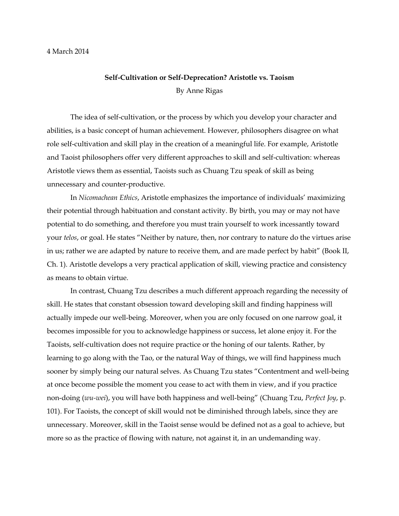## 4 March 2014

## **Self-Cultivation or Self-Deprecation? Aristotle vs. Taoism** By Anne Rigas

The idea of self-cultivation, or the process by which you develop your character and abilities, is a basic concept of human achievement. However, philosophers disagree on what role self-cultivation and skill play in the creation of a meaningful life. For example, Aristotle and Taoist philosophers offer very different approaches to skill and self-cultivation: whereas Aristotle views them as essential, Taoists such as Chuang Tzu speak of skill as being unnecessary and counter-productive.

In *Nicomachean Ethics*, Aristotle emphasizes the importance of individuals' maximizing their potential through habituation and constant activity. By birth, you may or may not have potential to do something, and therefore you must train yourself to work incessantly toward your *telos*, or goal. He states "Neither by nature, then, nor contrary to nature do the virtues arise in us; rather we are adapted by nature to receive them, and are made perfect by habit" (Book II, Ch. 1). Aristotle develops a very practical application of skill, viewing practice and consistency as means to obtain virtue.

In contrast, Chuang Tzu describes a much different approach regarding the necessity of skill. He states that constant obsession toward developing skill and finding happiness will actually impede our well-being. Moreover, when you are only focused on one narrow goal, it becomes impossible for you to acknowledge happiness or success, let alone enjoy it. For the Taoists, self-cultivation does not require practice or the honing of our talents. Rather, by learning to go along with the Tao, or the natural Way of things, we will find happiness much sooner by simply being our natural selves. As Chuang Tzu states "Contentment and well-being at once become possible the moment you cease to act with them in view, and if you practice non-doing (*wu-wei*), you will have both happiness and well-being" (Chuang Tzu, *Perfect Joy*, p. 101). For Taoists, the concept of skill would not be diminished through labels, since they are unnecessary. Moreover, skill in the Taoist sense would be defined not as a goal to achieve, but more so as the practice of flowing with nature, not against it, in an undemanding way.